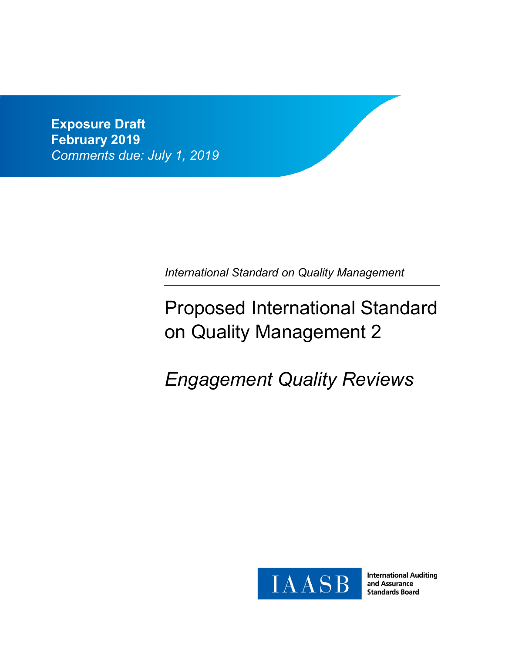**Exposure Draft February 2019** *Comments due: July 1, 2019*

*International Standard on Quality Management* 

# Proposed International Standard on Quality Management 2

# *Engagement Quality Reviews*



**International Auditing** and Assurance **Standards Board**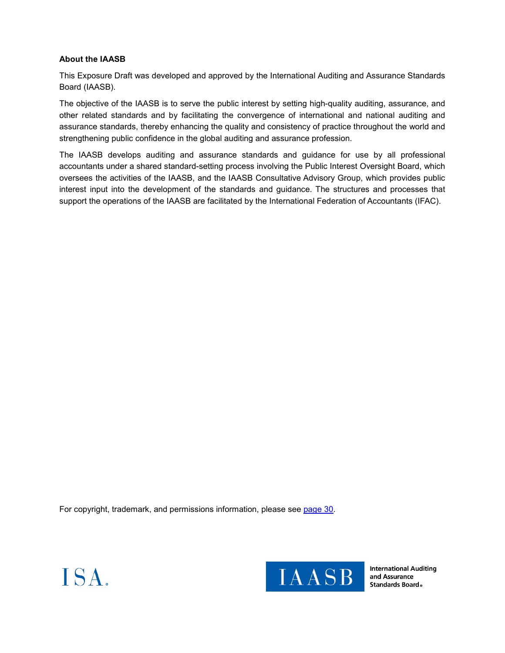# **About the IAASB**

This Exposure Draft was developed and approved by the International Auditing and Assurance Standards Board (IAASB).

The objective of the IAASB is to serve the public interest by setting high-quality auditing, assurance, and other related standards and by facilitating the convergence of international and national auditing and assurance standards, thereby enhancing the quality and consistency of practice throughout the world and strengthening public confidence in the global auditing and assurance profession.

The IAASB develops auditing and assurance standards and guidance for use by all professional accountants under a shared standard-setting process involving the Public Interest Oversight Board, which oversees the activities of the IAASB, and the IAASB Consultative Advisory Group, which provides public interest input into the development of the standards and guidance. The structures and processes that support the operations of the IAASB are facilitated by the International Federation of Accountants (IFAC).

For copyright, trademark, and permissions information, please see page 30.





**International Auditing** and Assurance Standards Board.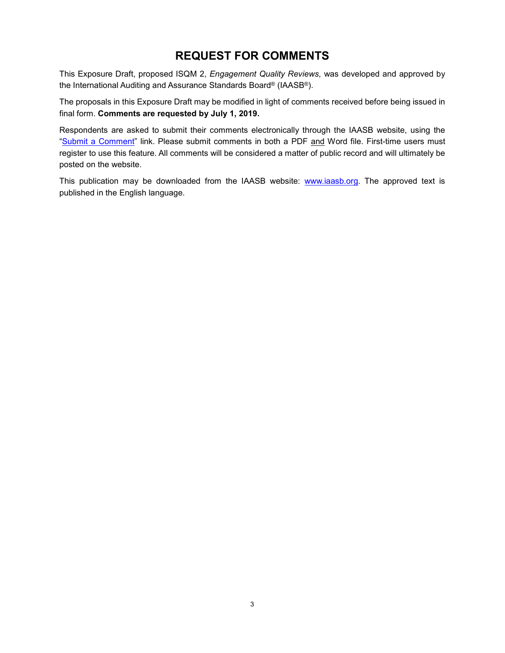# **REQUEST FOR COMMENTS**

This Exposure Draft, proposed ISQM 2, *Engagement Quality Reviews,* was developed and approved by the International Auditing and Assurance Standards Board® (IAASB®).

The proposals in this Exposure Draft may be modified in light of comments received before being issued in final form. **Comments are requested by July 1, 2019.**

Respondents are asked to submit their comments electronically through the IAASB website, using the "Submit a Comment" link. Please submit comments in both a PDF and Word file. First-time users must register to use this feature. All comments will be considered a matter of public record and will ultimately be posted on the website.

This publication may be downloaded from the IAASB website: www.iaasb.org. The approved text is published in the English language.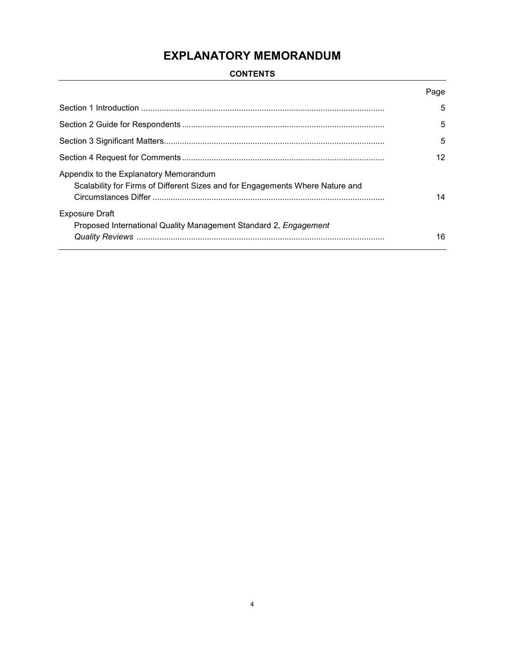# **EXPLANATORY MEMORANDUM**

# **CONTENTS**

|                                                                                                                         | Page |  |  |
|-------------------------------------------------------------------------------------------------------------------------|------|--|--|
|                                                                                                                         | 5    |  |  |
|                                                                                                                         | 5    |  |  |
|                                                                                                                         | 5    |  |  |
|                                                                                                                         | 12   |  |  |
| Appendix to the Explanatory Memorandum<br>Scalability for Firms of Different Sizes and for Engagements Where Nature and | 14   |  |  |
| <b>Exposure Draft</b>                                                                                                   |      |  |  |
| Proposed International Quality Management Standard 2, Engagement                                                        | 16   |  |  |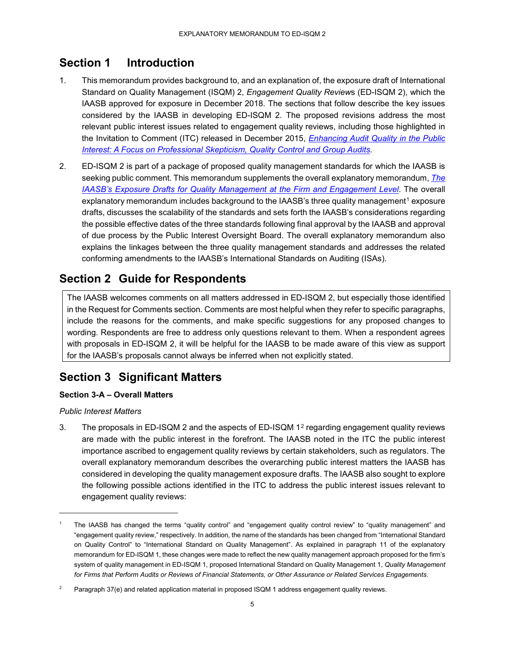# **Section 1 Introduction**

- 1. This memorandum provides background to, and an explanation of, the exposure draft of International Standard on Quality Management (ISQM) 2, *Engagement Quality Review*s (ED-ISQM 2), which the IAASB approved for exposure in December 2018. The sections that follow describe the key issues considered by the IAASB in developing ED-ISQM 2. The proposed revisions address the most relevant public interest issues related to engagement quality reviews, including those highlighted in the Invitation to Comment (ITC) released in December 2015, *Enhancing Audit Quality in the Public Interest: A Focus on Professional Skepticism, Quality Control and Group Audits.*
- 2. ED-ISQM 2 is part of a package of proposed quality management standards for which the IAASB is seeking public comment. This memorandum supplements the overall explanatory memorandum, *The IAASB's Exposure Drafts for Quality Management at the Firm and Engagement Level*. The overall explanatory memorandum includes background to the IAASB's three quality management<sup>1</sup> exposure drafts, discusses the scalability of the standards and sets forth the IAASB's considerations regarding the possible effective dates of the three standards following final approval by the IAASB and approval of due process by the Public Interest Oversight Board. The overall explanatory memorandum also explains the linkages between the three quality management standards and addresses the related conforming amendments to the IAASB's International Standards on Auditing (ISAs).

# **Section 2 Guide for Respondents**

The IAASB welcomes comments on all matters addressed in ED-ISQM 2, but especially those identified in the Request for Comments section. Comments are most helpful when they refer to specific paragraphs, include the reasons for the comments, and make specific suggestions for any proposed changes to wording. Respondents are free to address only questions relevant to them. When a respondent agrees with proposals in ED-ISQM 2, it will be helpful for the IAASB to be made aware of this view as support for the IAASB's proposals cannot always be inferred when not explicitly stated.

# **Section 3 Significant Matters**

# **Section 3-A – Overall Matters**

# *Public Interest Matters*

-

3. The proposals in ED-ISQM 2 and the aspects of ED-ISQM 12 regarding engagement quality reviews are made with the public interest in the forefront. The IAASB noted in the ITC the public interest importance ascribed to engagement quality reviews by certain stakeholders, such as regulators. The overall explanatory memorandum describes the overarching public interest matters the IAASB has considered in developing the quality management exposure drafts. The IAASB also sought to explore the following possible actions identified in the ITC to address the public interest issues relevant to engagement quality reviews:

<sup>1</sup> The IAASB has changed the terms "quality control" and "engagement quality control review" to "quality management" and "engagement quality review," respectively. In addition, the name of the standards has been changed from "International Standard on Quality Control" to "International Standard on Quality Management". As explained in paragraph 11 of the explanatory memorandum for ED-ISQM 1, these changes were made to reflect the new quality management approach proposed for the firm's system of quality management in ED-ISQM 1, proposed International Standard on Quality Management 1, *Quality Management for Firms that Perform Audits or Reviews of Financial Statements, or Other Assurance or Related Services Engagements*.

Paragraph 37(e) and related application material in proposed ISQM 1 address engagement quality reviews.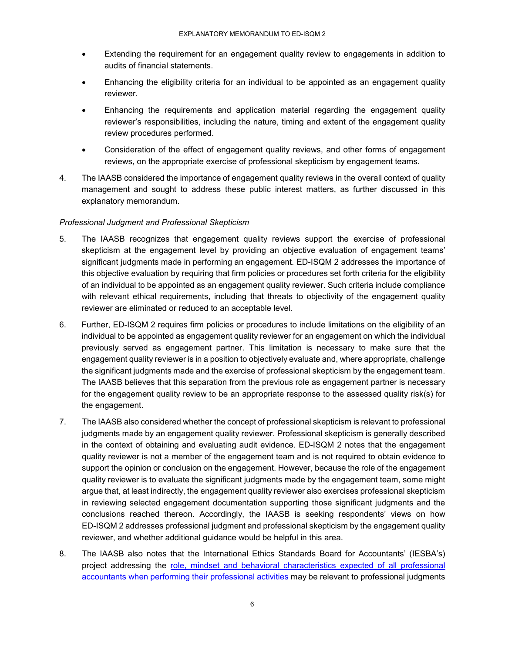- Extending the requirement for an engagement quality review to engagements in addition to audits of financial statements.
- Enhancing the eligibility criteria for an individual to be appointed as an engagement quality reviewer.
- Enhancing the requirements and application material regarding the engagement quality reviewer's responsibilities, including the nature, timing and extent of the engagement quality review procedures performed.
- Consideration of the effect of engagement quality reviews, and other forms of engagement reviews, on the appropriate exercise of professional skepticism by engagement teams.
- 4. The IAASB considered the importance of engagement quality reviews in the overall context of quality management and sought to address these public interest matters, as further discussed in this explanatory memorandum.

# *Professional Judgment and Professional Skepticism*

- 5. The IAASB recognizes that engagement quality reviews support the exercise of professional skepticism at the engagement level by providing an objective evaluation of engagement teams' significant judgments made in performing an engagement. ED-ISQM 2 addresses the importance of this objective evaluation by requiring that firm policies or procedures set forth criteria for the eligibility of an individual to be appointed as an engagement quality reviewer. Such criteria include compliance with relevant ethical requirements, including that threats to objectivity of the engagement quality reviewer are eliminated or reduced to an acceptable level.
- 6. Further, ED-ISQM 2 requires firm policies or procedures to include limitations on the eligibility of an individual to be appointed as engagement quality reviewer for an engagement on which the individual previously served as engagement partner. This limitation is necessary to make sure that the engagement quality reviewer is in a position to objectively evaluate and, where appropriate, challenge the significant judgments made and the exercise of professional skepticism by the engagement team. The IAASB believes that this separation from the previous role as engagement partner is necessary for the engagement quality review to be an appropriate response to the assessed quality risk(s) for the engagement.
- 7. The IAASB also considered whether the concept of professional skepticism is relevant to professional judgments made by an engagement quality reviewer. Professional skepticism is generally described in the context of obtaining and evaluating audit evidence. ED-ISQM 2 notes that the engagement quality reviewer is not a member of the engagement team and is not required to obtain evidence to support the opinion or conclusion on the engagement. However, because the role of the engagement quality reviewer is to evaluate the significant judgments made by the engagement team, some might argue that, at least indirectly, the engagement quality reviewer also exercises professional skepticism in reviewing selected engagement documentation supporting those significant judgments and the conclusions reached thereon. Accordingly, the IAASB is seeking respondents' views on how ED-ISQM 2 addresses professional judgment and professional skepticism by the engagement quality reviewer, and whether additional guidance would be helpful in this area.
- 8. The IAASB also notes that the International Ethics Standards Board for Accountants' (IESBA's) project addressing the role, mindset and behavioral characteristics expected of all professional accountants when performing their professional activities may be relevant to professional judgments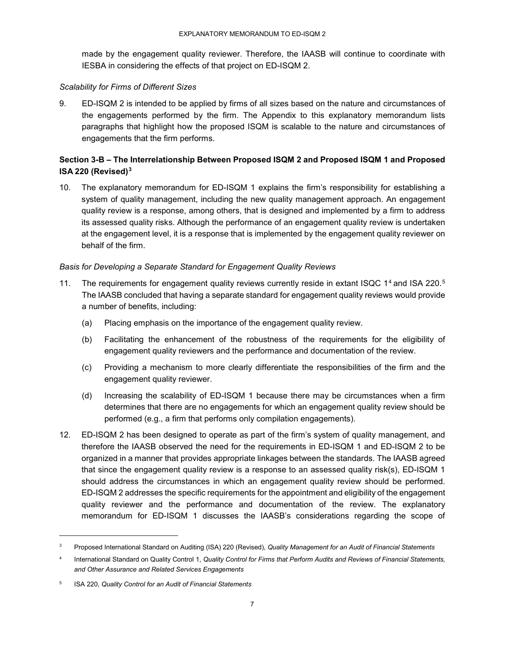made by the engagement quality reviewer. Therefore, the IAASB will continue to coordinate with IESBA in considering the effects of that project on ED-ISQM 2.

### *Scalability for Firms of Different Sizes*

9. ED-ISQM 2 is intended to be applied by firms of all sizes based on the nature and circumstances of the engagements performed by the firm. The Appendix to this explanatory memorandum lists paragraphs that highlight how the proposed ISQM is scalable to the nature and circumstances of engagements that the firm performs.

# **Section 3-B – The Interrelationship Between Proposed ISQM 2 and Proposed ISQM 1 and Proposed ISA 220 (Revised)3**

10. The explanatory memorandum for ED-ISQM 1 explains the firm's responsibility for establishing a system of quality management, including the new quality management approach. An engagement quality review is a response, among others, that is designed and implemented by a firm to address its assessed quality risks. Although the performance of an engagement quality review is undertaken at the engagement level, it is a response that is implemented by the engagement quality reviewer on behalf of the firm.

# *Basis for Developing a Separate Standard for Engagement Quality Reviews*

- 11. The requirements for engagement quality reviews currently reside in extant ISQC 1<sup>4</sup> and ISA 220.<sup>5</sup> The IAASB concluded that having a separate standard for engagement quality reviews would provide a number of benefits, including:
	- (a) Placing emphasis on the importance of the engagement quality review.
	- (b) Facilitating the enhancement of the robustness of the requirements for the eligibility of engagement quality reviewers and the performance and documentation of the review.
	- (c) Providing a mechanism to more clearly differentiate the responsibilities of the firm and the engagement quality reviewer.
	- (d) Increasing the scalability of ED-ISQM 1 because there may be circumstances when a firm determines that there are no engagements for which an engagement quality review should be performed (e.g., a firm that performs only compilation engagements).
- 12. ED-ISQM 2 has been designed to operate as part of the firm's system of quality management, and therefore the IAASB observed the need for the requirements in ED-ISQM 1 and ED-ISQM 2 to be organized in a manner that provides appropriate linkages between the standards. The IAASB agreed that since the engagement quality review is a response to an assessed quality risk(s), ED-ISQM 1 should address the circumstances in which an engagement quality review should be performed. ED-ISQM 2 addresses the specific requirements for the appointment and eligibility of the engagement quality reviewer and the performance and documentation of the review. The explanatory memorandum for ED-ISQM 1 discusses the IAASB's considerations regarding the scope of

<sup>3</sup> Proposed International Standard on Auditing (ISA) 220 (Revised), *Quality Management for an Audit of Financial Statements*

<sup>4</sup> International Standard on Quality Control 1, *Quality Control for Firms that Perform Audits and Reviews of Financial Statements, and Other Assurance and Related Services Engagements*

<sup>5</sup> ISA 220, *Quality Control for an Audit of Financial Statements*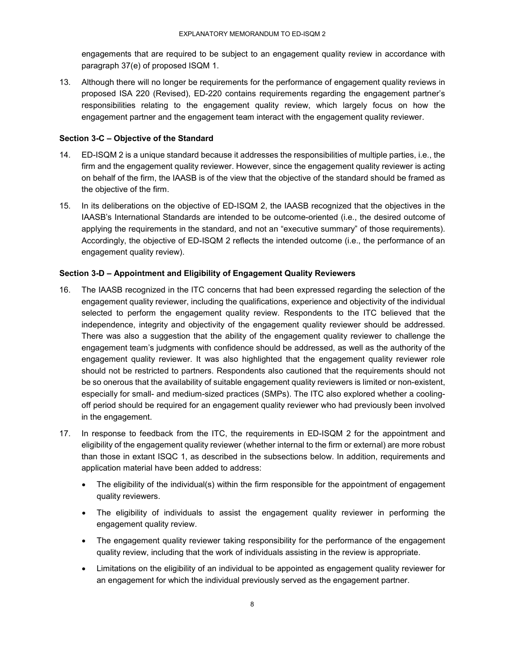engagements that are required to be subject to an engagement quality review in accordance with paragraph 37(e) of proposed ISQM 1.

13. Although there will no longer be requirements for the performance of engagement quality reviews in proposed ISA 220 (Revised), ED-220 contains requirements regarding the engagement partner's responsibilities relating to the engagement quality review, which largely focus on how the engagement partner and the engagement team interact with the engagement quality reviewer.

# **Section 3-C – Objective of the Standard**

- 14. ED-ISQM 2 is a unique standard because it addresses the responsibilities of multiple parties, i.e., the firm and the engagement quality reviewer. However, since the engagement quality reviewer is acting on behalf of the firm, the IAASB is of the view that the objective of the standard should be framed as the objective of the firm.
- 15. In its deliberations on the objective of ED-ISQM 2, the IAASB recognized that the objectives in the IAASB's International Standards are intended to be outcome-oriented (i.e., the desired outcome of applying the requirements in the standard, and not an "executive summary" of those requirements). Accordingly, the objective of ED-ISQM 2 reflects the intended outcome (i.e., the performance of an engagement quality review).

# **Section 3-D – Appointment and Eligibility of Engagement Quality Reviewers**

- 16. The IAASB recognized in the ITC concerns that had been expressed regarding the selection of the engagement quality reviewer, including the qualifications, experience and objectivity of the individual selected to perform the engagement quality review. Respondents to the ITC believed that the independence, integrity and objectivity of the engagement quality reviewer should be addressed. There was also a suggestion that the ability of the engagement quality reviewer to challenge the engagement team's judgments with confidence should be addressed, as well as the authority of the engagement quality reviewer. It was also highlighted that the engagement quality reviewer role should not be restricted to partners. Respondents also cautioned that the requirements should not be so onerous that the availability of suitable engagement quality reviewers is limited or non-existent, especially for small- and medium-sized practices (SMPs). The ITC also explored whether a coolingoff period should be required for an engagement quality reviewer who had previously been involved in the engagement.
- 17. In response to feedback from the ITC, the requirements in ED-ISQM 2 for the appointment and eligibility of the engagement quality reviewer (whether internal to the firm or external) are more robust than those in extant ISQC 1, as described in the subsections below. In addition, requirements and application material have been added to address:
	- The eligibility of the individual(s) within the firm responsible for the appointment of engagement quality reviewers.
	- The eligibility of individuals to assist the engagement quality reviewer in performing the engagement quality review.
	- The engagement quality reviewer taking responsibility for the performance of the engagement quality review, including that the work of individuals assisting in the review is appropriate.
	- Limitations on the eligibility of an individual to be appointed as engagement quality reviewer for an engagement for which the individual previously served as the engagement partner.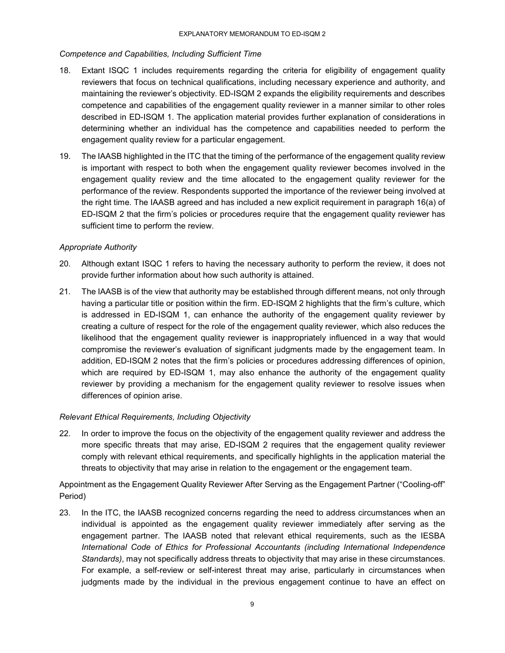### *Competence and Capabilities, Including Sufficient Time*

- 18. Extant ISQC 1 includes requirements regarding the criteria for eligibility of engagement quality reviewers that focus on technical qualifications, including necessary experience and authority, and maintaining the reviewer's objectivity. ED-ISQM 2 expands the eligibility requirements and describes competence and capabilities of the engagement quality reviewer in a manner similar to other roles described in ED-ISQM 1. The application material provides further explanation of considerations in determining whether an individual has the competence and capabilities needed to perform the engagement quality review for a particular engagement.
- 19. The IAASB highlighted in the ITC that the timing of the performance of the engagement quality review is important with respect to both when the engagement quality reviewer becomes involved in the engagement quality review and the time allocated to the engagement quality reviewer for the performance of the review. Respondents supported the importance of the reviewer being involved at the right time. The IAASB agreed and has included a new explicit requirement in paragraph 16(a) of ED-ISQM 2 that the firm's policies or procedures require that the engagement quality reviewer has sufficient time to perform the review.

# *Appropriate Authority*

- 20. Although extant ISQC 1 refers to having the necessary authority to perform the review, it does not provide further information about how such authority is attained.
- 21. The IAASB is of the view that authority may be established through different means, not only through having a particular title or position within the firm. ED-ISQM 2 highlights that the firm's culture, which is addressed in ED-ISQM 1, can enhance the authority of the engagement quality reviewer by creating a culture of respect for the role of the engagement quality reviewer, which also reduces the likelihood that the engagement quality reviewer is inappropriately influenced in a way that would compromise the reviewer's evaluation of significant judgments made by the engagement team. In addition, ED-ISQM 2 notes that the firm's policies or procedures addressing differences of opinion, which are required by ED-ISQM 1, may also enhance the authority of the engagement quality reviewer by providing a mechanism for the engagement quality reviewer to resolve issues when differences of opinion arise.

# *Relevant Ethical Requirements, Including Objectivity*

22. In order to improve the focus on the objectivity of the engagement quality reviewer and address the more specific threats that may arise, ED-ISQM 2 requires that the engagement quality reviewer comply with relevant ethical requirements, and specifically highlights in the application material the threats to objectivity that may arise in relation to the engagement or the engagement team.

Appointment as the Engagement Quality Reviewer After Serving as the Engagement Partner ("Cooling-off" Period)

23. In the ITC, the IAASB recognized concerns regarding the need to address circumstances when an individual is appointed as the engagement quality reviewer immediately after serving as the engagement partner. The IAASB noted that relevant ethical requirements, such as the IESBA *International Code of Ethics for Professional Accountants (including International Independence Standards)*, may not specifically address threats to objectivity that may arise in these circumstances. For example, a self-review or self-interest threat may arise, particularly in circumstances when judgments made by the individual in the previous engagement continue to have an effect on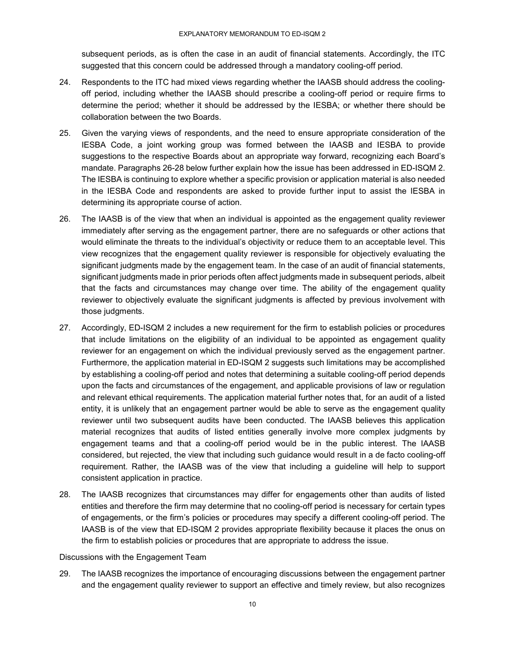subsequent periods, as is often the case in an audit of financial statements. Accordingly, the ITC suggested that this concern could be addressed through a mandatory cooling-off period.

- 24. Respondents to the ITC had mixed views regarding whether the IAASB should address the coolingoff period, including whether the IAASB should prescribe a cooling-off period or require firms to determine the period; whether it should be addressed by the IESBA; or whether there should be collaboration between the two Boards.
- 25. Given the varying views of respondents, and the need to ensure appropriate consideration of the IESBA Code, a joint working group was formed between the IAASB and IESBA to provide suggestions to the respective Boards about an appropriate way forward, recognizing each Board's mandate. Paragraphs 26-28 below further explain how the issue has been addressed in ED-ISQM 2. The IESBA is continuing to explore whether a specific provision or application material is also needed in the IESBA Code and respondents are asked to provide further input to assist the IESBA in determining its appropriate course of action.
- 26. The IAASB is of the view that when an individual is appointed as the engagement quality reviewer immediately after serving as the engagement partner, there are no safeguards or other actions that would eliminate the threats to the individual's objectivity or reduce them to an acceptable level. This view recognizes that the engagement quality reviewer is responsible for objectively evaluating the significant judgments made by the engagement team. In the case of an audit of financial statements, significant judgments made in prior periods often affect judgments made in subsequent periods, albeit that the facts and circumstances may change over time. The ability of the engagement quality reviewer to objectively evaluate the significant judgments is affected by previous involvement with those judgments.
- 27. Accordingly, ED-ISQM 2 includes a new requirement for the firm to establish policies or procedures that include limitations on the eligibility of an individual to be appointed as engagement quality reviewer for an engagement on which the individual previously served as the engagement partner. Furthermore, the application material in ED-ISQM 2 suggests such limitations may be accomplished by establishing a cooling-off period and notes that determining a suitable cooling-off period depends upon the facts and circumstances of the engagement, and applicable provisions of law or regulation and relevant ethical requirements. The application material further notes that, for an audit of a listed entity, it is unlikely that an engagement partner would be able to serve as the engagement quality reviewer until two subsequent audits have been conducted. The IAASB believes this application material recognizes that audits of listed entities generally involve more complex judgments by engagement teams and that a cooling-off period would be in the public interest. The IAASB considered, but rejected, the view that including such guidance would result in a de facto cooling-off requirement. Rather, the IAASB was of the view that including a guideline will help to support consistent application in practice.
- 28. The IAASB recognizes that circumstances may differ for engagements other than audits of listed entities and therefore the firm may determine that no cooling-off period is necessary for certain types of engagements, or the firm's policies or procedures may specify a different cooling-off period. The IAASB is of the view that ED-ISQM 2 provides appropriate flexibility because it places the onus on the firm to establish policies or procedures that are appropriate to address the issue.

#### Discussions with the Engagement Team

29. The IAASB recognizes the importance of encouraging discussions between the engagement partner and the engagement quality reviewer to support an effective and timely review, but also recognizes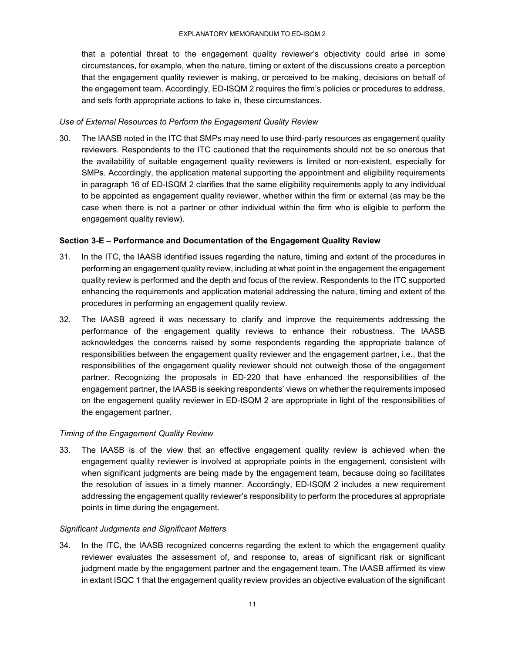that a potential threat to the engagement quality reviewer's objectivity could arise in some circumstances, for example, when the nature, timing or extent of the discussions create a perception that the engagement quality reviewer is making, or perceived to be making, decisions on behalf of the engagement team. Accordingly, ED-ISQM 2 requires the firm's policies or procedures to address, and sets forth appropriate actions to take in, these circumstances.

#### *Use of External Resources to Perform the Engagement Quality Review*

30. The IAASB noted in the ITC that SMPs may need to use third-party resources as engagement quality reviewers. Respondents to the ITC cautioned that the requirements should not be so onerous that the availability of suitable engagement quality reviewers is limited or non-existent, especially for SMPs. Accordingly, the application material supporting the appointment and eligibility requirements in paragraph 16 of ED-ISQM 2 clarifies that the same eligibility requirements apply to any individual to be appointed as engagement quality reviewer, whether within the firm or external (as may be the case when there is not a partner or other individual within the firm who is eligible to perform the engagement quality review).

# **Section 3-E – Performance and Documentation of the Engagement Quality Review**

- 31. In the ITC, the IAASB identified issues regarding the nature, timing and extent of the procedures in performing an engagement quality review, including at what point in the engagement the engagement quality review is performed and the depth and focus of the review. Respondents to the ITC supported enhancing the requirements and application material addressing the nature, timing and extent of the procedures in performing an engagement quality review.
- 32. The IAASB agreed it was necessary to clarify and improve the requirements addressing the performance of the engagement quality reviews to enhance their robustness. The IAASB acknowledges the concerns raised by some respondents regarding the appropriate balance of responsibilities between the engagement quality reviewer and the engagement partner, i.e., that the responsibilities of the engagement quality reviewer should not outweigh those of the engagement partner. Recognizing the proposals in ED-220 that have enhanced the responsibilities of the engagement partner, the IAASB is seeking respondents' views on whether the requirements imposed on the engagement quality reviewer in ED-ISQM 2 are appropriate in light of the responsibilities of the engagement partner.

#### *Timing of the Engagement Quality Review*

33. The IAASB is of the view that an effective engagement quality review is achieved when the engagement quality reviewer is involved at appropriate points in the engagement, consistent with when significant judgments are being made by the engagement team, because doing so facilitates the resolution of issues in a timely manner. Accordingly, ED-ISQM 2 includes a new requirement addressing the engagement quality reviewer's responsibility to perform the procedures at appropriate points in time during the engagement.

#### *Significant Judgments and Significant Matters*

34. In the ITC, the IAASB recognized concerns regarding the extent to which the engagement quality reviewer evaluates the assessment of, and response to, areas of significant risk or significant judgment made by the engagement partner and the engagement team. The IAASB affirmed its view in extant ISQC 1 that the engagement quality review provides an objective evaluation of the significant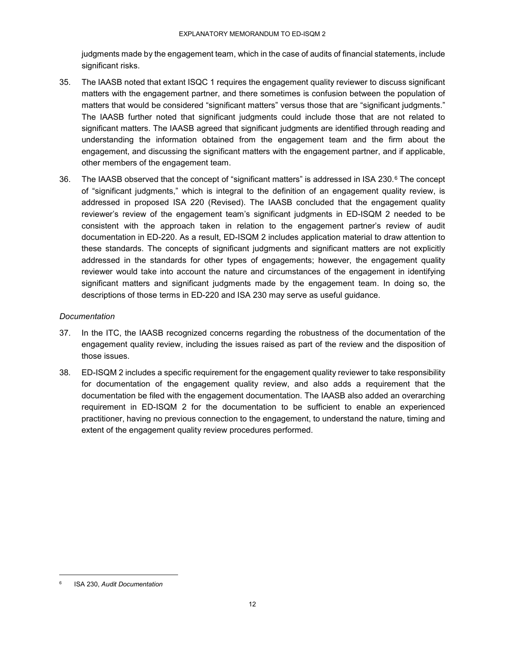judgments made by the engagement team, which in the case of audits of financial statements, include significant risks.

- 35. The IAASB noted that extant ISQC 1 requires the engagement quality reviewer to discuss significant matters with the engagement partner, and there sometimes is confusion between the population of matters that would be considered "significant matters" versus those that are "significant judgments." The IAASB further noted that significant judgments could include those that are not related to significant matters. The IAASB agreed that significant judgments are identified through reading and understanding the information obtained from the engagement team and the firm about the engagement, and discussing the significant matters with the engagement partner, and if applicable, other members of the engagement team.
- 36. The IAASB observed that the concept of "significant matters" is addressed in ISA 230.<sup>6</sup> The concept of "significant judgments," which is integral to the definition of an engagement quality review, is addressed in proposed ISA 220 (Revised). The IAASB concluded that the engagement quality reviewer's review of the engagement team's significant judgments in ED-ISQM 2 needed to be consistent with the approach taken in relation to the engagement partner's review of audit documentation in ED-220. As a result, ED-ISQM 2 includes application material to draw attention to these standards. The concepts of significant judgments and significant matters are not explicitly addressed in the standards for other types of engagements; however, the engagement quality reviewer would take into account the nature and circumstances of the engagement in identifying significant matters and significant judgments made by the engagement team. In doing so, the descriptions of those terms in ED-220 and ISA 230 may serve as useful guidance.

# *Documentation*

- 37. In the ITC, the IAASB recognized concerns regarding the robustness of the documentation of the engagement quality review, including the issues raised as part of the review and the disposition of those issues.
- 38. ED-ISQM 2 includes a specific requirement for the engagement quality reviewer to take responsibility for documentation of the engagement quality review, and also adds a requirement that the documentation be filed with the engagement documentation. The IAASB also added an overarching requirement in ED-ISQM 2 for the documentation to be sufficient to enable an experienced practitioner, having no previous connection to the engagement, to understand the nature, timing and extent of the engagement quality review procedures performed.

 <sup>6</sup> ISA 230, *Audit Documentation*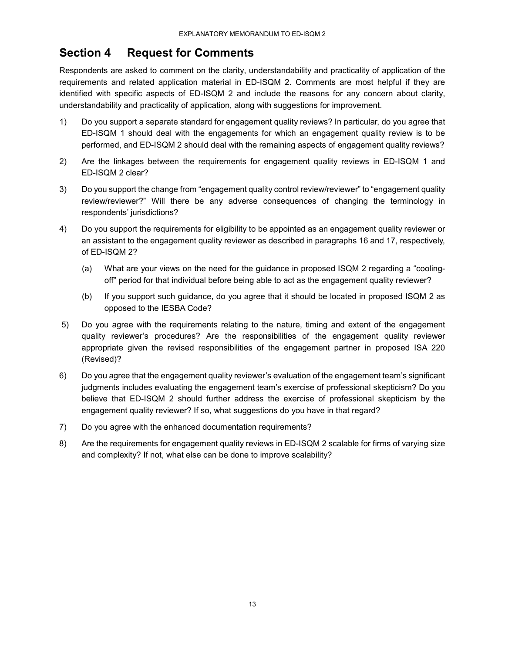# **Section 4 Request for Comments**

Respondents are asked to comment on the clarity, understandability and practicality of application of the requirements and related application material in ED-ISQM 2. Comments are most helpful if they are identified with specific aspects of ED-ISQM 2 and include the reasons for any concern about clarity, understandability and practicality of application, along with suggestions for improvement.

- 1) Do you support a separate standard for engagement quality reviews? In particular, do you agree that ED-ISQM 1 should deal with the engagements for which an engagement quality review is to be performed, and ED-ISQM 2 should deal with the remaining aspects of engagement quality reviews?
- 2) Are the linkages between the requirements for engagement quality reviews in ED-ISQM 1 and ED-ISQM 2 clear?
- 3) Do you support the change from "engagement quality control review/reviewer" to "engagement quality review/reviewer?" Will there be any adverse consequences of changing the terminology in respondents' jurisdictions?
- 4) Do you support the requirements for eligibility to be appointed as an engagement quality reviewer or an assistant to the engagement quality reviewer as described in paragraphs 16 and 17, respectively, of ED-ISQM 2?
	- (a) What are your views on the need for the guidance in proposed ISQM 2 regarding a "coolingoff" period for that individual before being able to act as the engagement quality reviewer?
	- (b) If you support such guidance, do you agree that it should be located in proposed ISQM 2 as opposed to the IESBA Code?
- 5) Do you agree with the requirements relating to the nature, timing and extent of the engagement quality reviewer's procedures? Are the responsibilities of the engagement quality reviewer appropriate given the revised responsibilities of the engagement partner in proposed ISA 220 (Revised)?
- 6) Do you agree that the engagement quality reviewer's evaluation of the engagement team's significant judgments includes evaluating the engagement team's exercise of professional skepticism? Do you believe that ED-ISQM 2 should further address the exercise of professional skepticism by the engagement quality reviewer? If so, what suggestions do you have in that regard?
- 7) Do you agree with the enhanced documentation requirements?
- 8) Are the requirements for engagement quality reviews in ED-ISQM 2 scalable for firms of varying size and complexity? If not, what else can be done to improve scalability?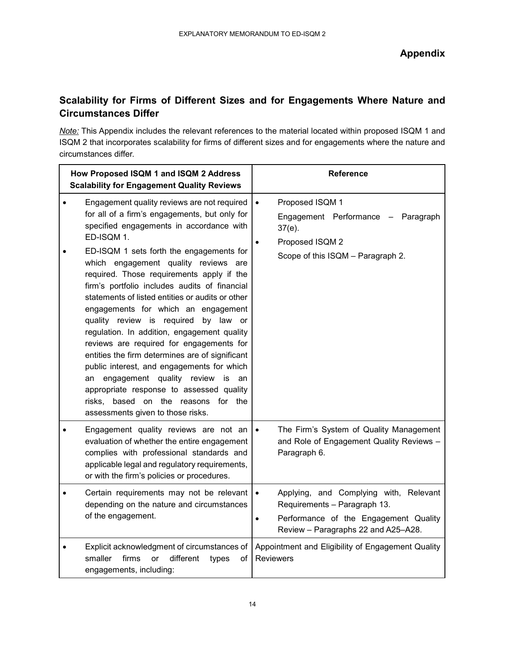# **Scalability for Firms of Different Sizes and for Engagements Where Nature and Circumstances Differ**

*Note:* This Appendix includes the relevant references to the material located within proposed ISQM 1 and ISQM 2 that incorporates scalability for firms of different sizes and for engagements where the nature and circumstances differ.

| How Proposed ISQM 1 and ISQM 2 Address<br><b>Scalability for Engagement Quality Reviews</b>                                                                                                                                                                                                                                                                                                                                                                                                                                                                                                            | <b>Reference</b>                                                                                                                                                                 |  |
|--------------------------------------------------------------------------------------------------------------------------------------------------------------------------------------------------------------------------------------------------------------------------------------------------------------------------------------------------------------------------------------------------------------------------------------------------------------------------------------------------------------------------------------------------------------------------------------------------------|----------------------------------------------------------------------------------------------------------------------------------------------------------------------------------|--|
| Engagement quality reviews are not required<br>for all of a firm's engagements, but only for<br>specified engagements in accordance with<br>ED-ISQM 1.<br>ED-ISQM 1 sets forth the engagements for<br>which engagement quality reviews are                                                                                                                                                                                                                                                                                                                                                             | Proposed ISQM 1<br>$\bullet$<br>Engagement Performance - Paragraph<br>$37(e)$ .<br>Proposed ISQM 2<br>Scope of this ISQM - Paragraph 2.                                          |  |
| required. Those requirements apply if the<br>firm's portfolio includes audits of financial<br>statements of listed entities or audits or other<br>engagements for which an engagement<br>quality review is required<br>by law or<br>regulation. In addition, engagement quality<br>reviews are required for engagements for<br>entities the firm determines are of significant<br>public interest, and engagements for which<br>engagement quality review<br>an<br>is<br>an<br>appropriate response to assessed quality<br>based on the reasons for the<br>risks,<br>assessments given to those risks. |                                                                                                                                                                                  |  |
| Engagement quality reviews are not an<br>evaluation of whether the entire engagement<br>complies with professional standards and<br>applicable legal and regulatory requirements,<br>or with the firm's policies or procedures.                                                                                                                                                                                                                                                                                                                                                                        | The Firm's System of Quality Management<br>$\bullet$<br>and Role of Engagement Quality Reviews -<br>Paragraph 6.                                                                 |  |
| Certain requirements may not be relevant<br>depending on the nature and circumstances<br>of the engagement.                                                                                                                                                                                                                                                                                                                                                                                                                                                                                            | Applying, and Complying with, Relevant<br>$\bullet$<br>Requirements - Paragraph 13.<br>Performance of the Engagement Quality<br>$\bullet$<br>Review - Paragraphs 22 and A25-A28. |  |
| Explicit acknowledgment of circumstances of<br>smaller<br>firms<br>different<br><b>or</b><br>types<br>οf<br>engagements, including:                                                                                                                                                                                                                                                                                                                                                                                                                                                                    | Appointment and Eligibility of Engagement Quality<br><b>Reviewers</b>                                                                                                            |  |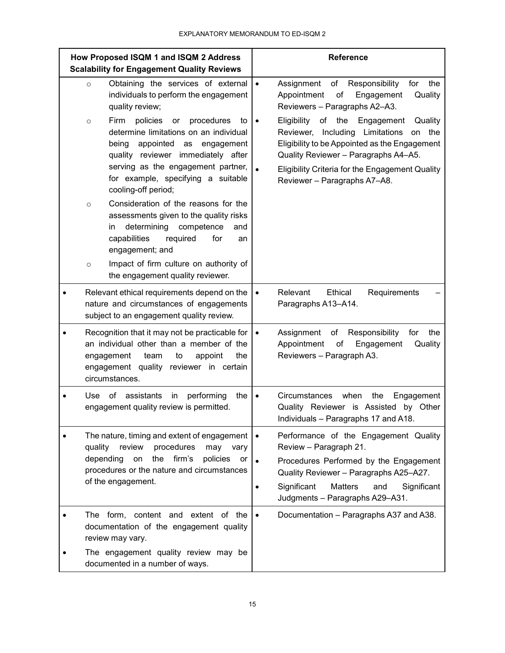| How Proposed ISQM 1 and ISQM 2 Address<br><b>Scalability for Engagement Quality Reviews</b> |                                                                                                                                                                                                                                                                                                                                                                                                                                                                                                                                                                                                                                                                                             | <b>Reference</b>                                                                                                                                                                                                                                                                                                                                                                                                                                 |  |
|---------------------------------------------------------------------------------------------|---------------------------------------------------------------------------------------------------------------------------------------------------------------------------------------------------------------------------------------------------------------------------------------------------------------------------------------------------------------------------------------------------------------------------------------------------------------------------------------------------------------------------------------------------------------------------------------------------------------------------------------------------------------------------------------------|--------------------------------------------------------------------------------------------------------------------------------------------------------------------------------------------------------------------------------------------------------------------------------------------------------------------------------------------------------------------------------------------------------------------------------------------------|--|
|                                                                                             | Obtaining the services of external<br>$\circ$<br>individuals to perform the engagement<br>quality review;<br>Firm<br>policies<br>procedures<br>or<br>to<br>$\circ$<br>determine limitations on an individual<br>appointed<br>being<br>as<br>engagement<br>quality reviewer immediately after<br>serving as the engagement partner,<br>for example, specifying a suitable<br>cooling-off period;<br>Consideration of the reasons for the<br>$\circ$<br>assessments given to the quality risks<br>determining<br>competence<br>and<br>in<br>capabilities<br>required<br>for<br>an<br>engagement; and<br>Impact of firm culture on authority of<br>$\circ$<br>the engagement quality reviewer. | Assignment<br>of<br>Responsibility<br>for<br>the<br>$\bullet$<br>Quality<br>Appointment<br>of<br>Engagement<br>Reviewers - Paragraphs A2-A3.<br>Eligibility<br>οf<br>the<br>Engagement<br>Quality<br>$\bullet$<br>Including<br>Limitations<br>Reviewer,<br>the<br>on<br>Eligibility to be Appointed as the Engagement<br>Quality Reviewer - Paragraphs A4-A5.<br>Eligibility Criteria for the Engagement Quality<br>Reviewer - Paragraphs A7-A8. |  |
|                                                                                             | Relevant ethical requirements depend on the<br>nature and circumstances of engagements<br>subject to an engagement quality review.                                                                                                                                                                                                                                                                                                                                                                                                                                                                                                                                                          | Relevant<br>Ethical<br>Requirements<br>$\bullet$<br>Paragraphs A13-A14.                                                                                                                                                                                                                                                                                                                                                                          |  |
|                                                                                             | Recognition that it may not be practicable for<br>an individual other than a member of the<br>the<br>engagement<br>appoint<br>team<br>to<br>engagement quality reviewer in certain<br>circumstances.                                                                                                                                                                                                                                                                                                                                                                                                                                                                                        | Responsibility<br>Assignment<br>of<br>the<br>for<br>$\bullet$<br>of<br>Appointment<br>Engagement<br>Quality<br>Reviewers - Paragraph A3.                                                                                                                                                                                                                                                                                                         |  |
|                                                                                             | of<br>assistants<br>performing<br>the<br>Use<br>in<br>engagement quality review is permitted.                                                                                                                                                                                                                                                                                                                                                                                                                                                                                                                                                                                               | Circumstances<br>when<br>the<br>Engagement<br>Quality Reviewer is Assisted by Other<br>Individuals - Paragraphs 17 and A18.                                                                                                                                                                                                                                                                                                                      |  |
|                                                                                             | The nature, timing and extent of engagement<br>quality<br>review<br>procedures<br>may<br>vary<br>firm's<br>depending<br>the<br>policies<br>on<br>or<br>procedures or the nature and circumstances<br>of the engagement.                                                                                                                                                                                                                                                                                                                                                                                                                                                                     | Performance of the Engagement Quality<br>$\bullet$<br>Review - Paragraph 21.<br>Procedures Performed by the Engagement<br>Quality Reviewer - Paragraphs A25-A27.<br>Significant<br><b>Matters</b><br>and<br>Significant<br>Judgments - Paragraphs A29-A31.                                                                                                                                                                                       |  |
|                                                                                             | The form, content and extent of the<br>documentation of the engagement quality<br>review may vary.<br>The engagement quality review may be<br>documented in a number of ways.                                                                                                                                                                                                                                                                                                                                                                                                                                                                                                               | Documentation - Paragraphs A37 and A38.<br>$\bullet$                                                                                                                                                                                                                                                                                                                                                                                             |  |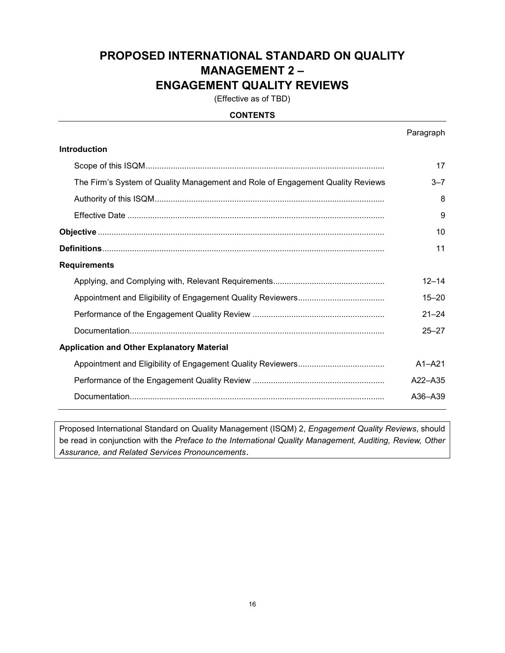# **PROPOSED INTERNATIONAL STANDARD ON QUALITY MANAGEMENT 2 – ENGAGEMENT QUALITY REVIEWS**

(Effective as of TBD)

# **CONTENTS**

|                                                                                | Paragraph  |  |  |
|--------------------------------------------------------------------------------|------------|--|--|
| <b>Introduction</b>                                                            |            |  |  |
|                                                                                | 17         |  |  |
| The Firm's System of Quality Management and Role of Engagement Quality Reviews | $3 - 7$    |  |  |
|                                                                                | 8          |  |  |
|                                                                                | 9          |  |  |
|                                                                                | 10         |  |  |
|                                                                                | 11         |  |  |
| <b>Requirements</b>                                                            |            |  |  |
|                                                                                | $12 - 14$  |  |  |
|                                                                                | $15 - 20$  |  |  |
|                                                                                | $21 - 24$  |  |  |
|                                                                                | $25 - 27$  |  |  |
| <b>Application and Other Explanatory Material</b>                              |            |  |  |
|                                                                                | $A1 - A21$ |  |  |
|                                                                                | A22-A35    |  |  |
|                                                                                | A36-A39    |  |  |

Proposed International Standard on Quality Management (ISQM) 2, *Engagement Quality Reviews*, should be read in conjunction with the *Preface to the International Quality Management, Auditing, Review, Other Assurance, and Related Services Pronouncements*.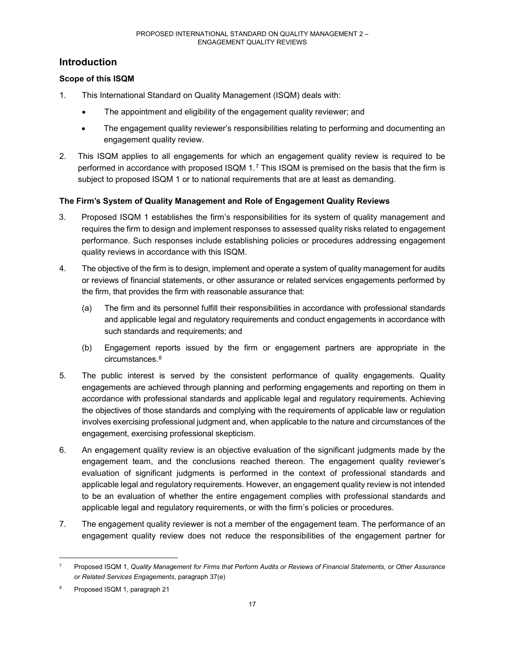# **Introduction**

# **Scope of this ISQM**

- 1. This International Standard on Quality Management (ISQM) deals with:
	- The appointment and eligibility of the engagement quality reviewer; and
	- The engagement quality reviewer's responsibilities relating to performing and documenting an engagement quality review.
- 2. This ISQM applies to all engagements for which an engagement quality review is required to be performed in accordance with proposed ISQM 1.7 This ISQM is premised on the basis that the firm is subject to proposed ISQM 1 or to national requirements that are at least as demanding.

# **The Firm's System of Quality Management and Role of Engagement Quality Reviews**

- 3. Proposed ISQM 1 establishes the firm's responsibilities for its system of quality management and requires the firm to design and implement responses to assessed quality risks related to engagement performance. Such responses include establishing policies or procedures addressing engagement quality reviews in accordance with this ISQM.
- 4. The objective of the firm is to design, implement and operate a system of quality management for audits or reviews of financial statements, or other assurance or related services engagements performed by the firm, that provides the firm with reasonable assurance that:
	- (a) The firm and its personnel fulfill their responsibilities in accordance with professional standards and applicable legal and regulatory requirements and conduct engagements in accordance with such standards and requirements; and
	- (b) Engagement reports issued by the firm or engagement partners are appropriate in the circumstances.8
- 5. The public interest is served by the consistent performance of quality engagements. Quality engagements are achieved through planning and performing engagements and reporting on them in accordance with professional standards and applicable legal and regulatory requirements. Achieving the objectives of those standards and complying with the requirements of applicable law or regulation involves exercising professional judgment and, when applicable to the nature and circumstances of the engagement, exercising professional skepticism.
- 6. An engagement quality review is an objective evaluation of the significant judgments made by the engagement team, and the conclusions reached thereon. The engagement quality reviewer's evaluation of significant judgments is performed in the context of professional standards and applicable legal and regulatory requirements. However, an engagement quality review is not intended to be an evaluation of whether the entire engagement complies with professional standards and applicable legal and regulatory requirements, or with the firm's policies or procedures.
- 7. The engagement quality reviewer is not a member of the engagement team. The performance of an engagement quality review does not reduce the responsibilities of the engagement partner for

 <sup>7</sup> Proposed ISQM 1, *Quality Management for Firms that Perform Audits or Reviews of Financial Statements, or Other Assurance or Related Services Engagements*, paragraph 37(e)

Proposed ISQM 1, paragraph 21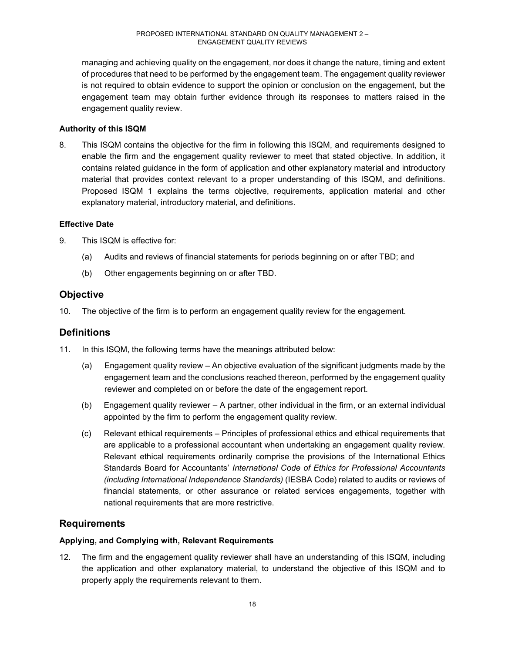managing and achieving quality on the engagement, nor does it change the nature, timing and extent of procedures that need to be performed by the engagement team. The engagement quality reviewer is not required to obtain evidence to support the opinion or conclusion on the engagement, but the engagement team may obtain further evidence through its responses to matters raised in the engagement quality review.

# **Authority of this ISQM**

8. This ISQM contains the objective for the firm in following this ISQM, and requirements designed to enable the firm and the engagement quality reviewer to meet that stated objective. In addition, it contains related guidance in the form of application and other explanatory material and introductory material that provides context relevant to a proper understanding of this ISQM, and definitions. Proposed ISQM 1 explains the terms objective, requirements, application material and other explanatory material, introductory material, and definitions.

# **Effective Date**

- 9. This ISQM is effective for:
	- (a) Audits and reviews of financial statements for periods beginning on or after TBD; and
	- (b) Other engagements beginning on or after TBD.

# **Objective**

10. The objective of the firm is to perform an engagement quality review for the engagement.

# **Definitions**

- 11. In this ISQM, the following terms have the meanings attributed below:
	- (a) Engagement quality review An objective evaluation of the significant judgments made by the engagement team and the conclusions reached thereon, performed by the engagement quality reviewer and completed on or before the date of the engagement report.
	- (b) Engagement quality reviewer A partner, other individual in the firm, or an external individual appointed by the firm to perform the engagement quality review.
	- (c) Relevant ethical requirements Principles of professional ethics and ethical requirements that are applicable to a professional accountant when undertaking an engagement quality review. Relevant ethical requirements ordinarily comprise the provisions of the International Ethics Standards Board for Accountants' *International Code of Ethics for Professional Accountants (including International Independence Standards)* (IESBA Code) related to audits or reviews of financial statements, or other assurance or related services engagements, together with national requirements that are more restrictive.

# **Requirements**

# **Applying, and Complying with, Relevant Requirements**

12. The firm and the engagement quality reviewer shall have an understanding of this ISQM, including the application and other explanatory material, to understand the objective of this ISQM and to properly apply the requirements relevant to them.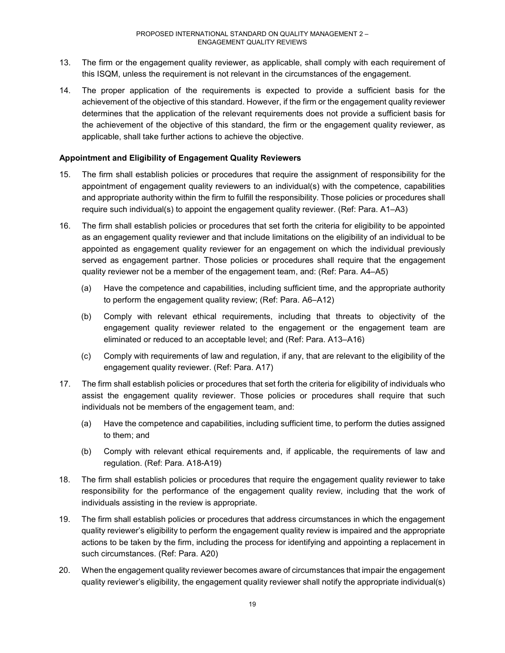- 13. The firm or the engagement quality reviewer, as applicable, shall comply with each requirement of this ISQM, unless the requirement is not relevant in the circumstances of the engagement.
- 14. The proper application of the requirements is expected to provide a sufficient basis for the achievement of the objective of this standard. However, if the firm or the engagement quality reviewer determines that the application of the relevant requirements does not provide a sufficient basis for the achievement of the objective of this standard, the firm or the engagement quality reviewer, as applicable, shall take further actions to achieve the objective.

### **Appointment and Eligibility of Engagement Quality Reviewers**

- 15. The firm shall establish policies or procedures that require the assignment of responsibility for the appointment of engagement quality reviewers to an individual(s) with the competence, capabilities and appropriate authority within the firm to fulfill the responsibility. Those policies or procedures shall require such individual(s) to appoint the engagement quality reviewer. (Ref: Para. A1–A3)
- 16. The firm shall establish policies or procedures that set forth the criteria for eligibility to be appointed as an engagement quality reviewer and that include limitations on the eligibility of an individual to be appointed as engagement quality reviewer for an engagement on which the individual previously served as engagement partner. Those policies or procedures shall require that the engagement quality reviewer not be a member of the engagement team, and: (Ref: Para. A4–A5)
	- (a) Have the competence and capabilities, including sufficient time, and the appropriate authority to perform the engagement quality review; (Ref: Para. A6–A12)
	- (b) Comply with relevant ethical requirements, including that threats to objectivity of the engagement quality reviewer related to the engagement or the engagement team are eliminated or reduced to an acceptable level; and (Ref: Para. A13–A16)
	- (c) Comply with requirements of law and regulation, if any, that are relevant to the eligibility of the engagement quality reviewer. (Ref: Para. A17)
- 17. The firm shall establish policies or procedures that set forth the criteria for eligibility of individuals who assist the engagement quality reviewer. Those policies or procedures shall require that such individuals not be members of the engagement team, and:
	- (a) Have the competence and capabilities, including sufficient time, to perform the duties assigned to them; and
	- (b) Comply with relevant ethical requirements and, if applicable, the requirements of law and regulation. (Ref: Para. A18-A19)
- 18. The firm shall establish policies or procedures that require the engagement quality reviewer to take responsibility for the performance of the engagement quality review, including that the work of individuals assisting in the review is appropriate.
- 19. The firm shall establish policies or procedures that address circumstances in which the engagement quality reviewer's eligibility to perform the engagement quality review is impaired and the appropriate actions to be taken by the firm, including the process for identifying and appointing a replacement in such circumstances. (Ref: Para. A20)
- 20. When the engagement quality reviewer becomes aware of circumstances that impair the engagement quality reviewer's eligibility, the engagement quality reviewer shall notify the appropriate individual(s)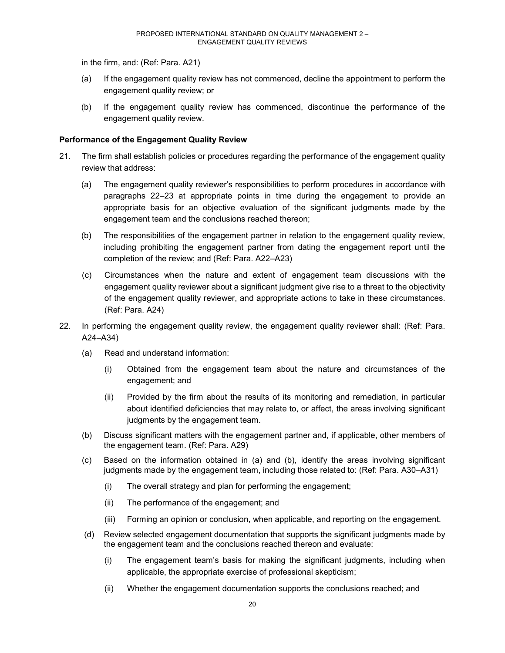in the firm, and: (Ref: Para. A21)

- (a) If the engagement quality review has not commenced, decline the appointment to perform the engagement quality review; or
- (b) If the engagement quality review has commenced, discontinue the performance of the engagement quality review.

#### **Performance of the Engagement Quality Review**

- 21. The firm shall establish policies or procedures regarding the performance of the engagement quality review that address:
	- (a) The engagement quality reviewer's responsibilities to perform procedures in accordance with paragraphs 22–23 at appropriate points in time during the engagement to provide an appropriate basis for an objective evaluation of the significant judgments made by the engagement team and the conclusions reached thereon;
	- (b) The responsibilities of the engagement partner in relation to the engagement quality review, including prohibiting the engagement partner from dating the engagement report until the completion of the review; and (Ref: Para. A22–A23)
	- (c) Circumstances when the nature and extent of engagement team discussions with the engagement quality reviewer about a significant judgment give rise to a threat to the objectivity of the engagement quality reviewer, and appropriate actions to take in these circumstances. (Ref: Para. A24)
- 22. In performing the engagement quality review, the engagement quality reviewer shall: (Ref: Para. A24–A34)
	- (a) Read and understand information:
		- (i) Obtained from the engagement team about the nature and circumstances of the engagement; and
		- (ii) Provided by the firm about the results of its monitoring and remediation, in particular about identified deficiencies that may relate to, or affect, the areas involving significant judgments by the engagement team.
	- (b) Discuss significant matters with the engagement partner and, if applicable, other members of the engagement team. (Ref: Para. A29)
	- (c) Based on the information obtained in (a) and (b), identify the areas involving significant judgments made by the engagement team, including those related to: (Ref: Para. A30–A31)
		- (i) The overall strategy and plan for performing the engagement;
		- (ii) The performance of the engagement; and
		- (iii) Forming an opinion or conclusion, when applicable, and reporting on the engagement.
	- (d) Review selected engagement documentation that supports the significant judgments made by the engagement team and the conclusions reached thereon and evaluate:
		- (i) The engagement team's basis for making the significant judgments, including when applicable, the appropriate exercise of professional skepticism;
		- (ii) Whether the engagement documentation supports the conclusions reached; and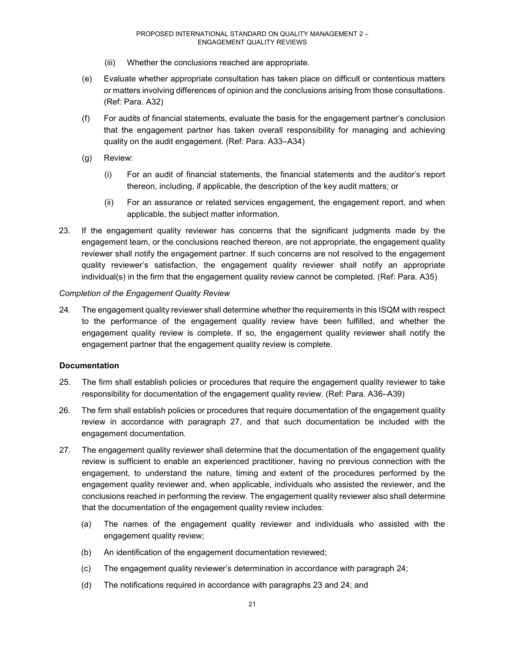- (iii) Whether the conclusions reached are appropriate.
- (e) Evaluate whether appropriate consultation has taken place on difficult or contentious matters or matters involving differences of opinion and the conclusions arising from those consultations. (Ref: Para. A32)
- (f) For audits of financial statements, evaluate the basis for the engagement partner's conclusion that the engagement partner has taken overall responsibility for managing and achieving quality on the audit engagement. (Ref: Para. A33–A34)
- (g) Review:
	- (i) For an audit of financial statements, the financial statements and the auditor's report thereon, including, if applicable, the description of the key audit matters; or
	- (ii) For an assurance or related services engagement, the engagement report, and when applicable, the subject matter information.
- 23. If the engagement quality reviewer has concerns that the significant judgments made by the engagement team, or the conclusions reached thereon, are not appropriate, the engagement quality reviewer shall notify the engagement partner. If such concerns are not resolved to the engagement quality reviewer's satisfaction, the engagement quality reviewer shall notify an appropriate individual(s) in the firm that the engagement quality review cannot be completed. (Ref: Para. A35)

#### *Completion of the Engagement Quality Review*

24. The engagement quality reviewer shall determine whether the requirements in this ISQM with respect to the performance of the engagement quality review have been fulfilled, and whether the engagement quality review is complete. If so, the engagement quality reviewer shall notify the engagement partner that the engagement quality review is complete.

#### **Documentation**

- 25. The firm shall establish policies or procedures that require the engagement quality reviewer to take responsibility for documentation of the engagement quality review. (Ref: Para. A36–A39)
- 26. The firm shall establish policies or procedures that require documentation of the engagement quality review in accordance with paragraph 27, and that such documentation be included with the engagement documentation.
- 27. The engagement quality reviewer shall determine that the documentation of the engagement quality review is sufficient to enable an experienced practitioner, having no previous connection with the engagement, to understand the nature, timing and extent of the procedures performed by the engagement quality reviewer and, when applicable, individuals who assisted the reviewer, and the conclusions reached in performing the review. The engagement quality reviewer also shall determine that the documentation of the engagement quality review includes:
	- (a) The names of the engagement quality reviewer and individuals who assisted with the engagement quality review;
	- (b) An identification of the engagement documentation reviewed;
	- (c) The engagement quality reviewer's determination in accordance with paragraph 24;
	- (d) The notifications required in accordance with paragraphs 23 and 24; and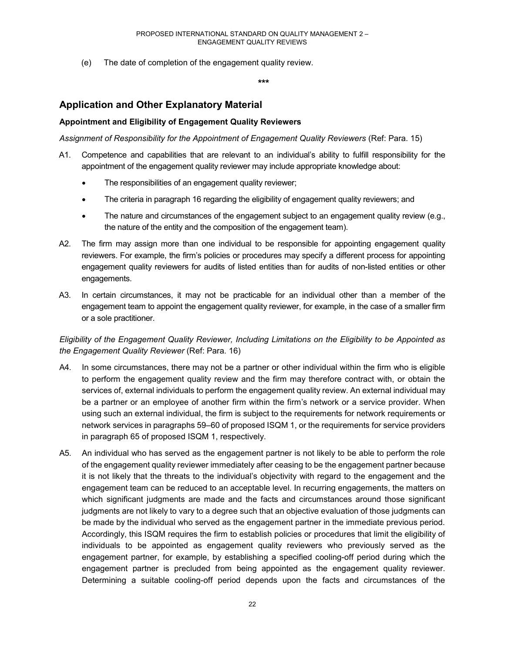(e) The date of completion of the engagement quality review.

**\*\*\***

# **Application and Other Explanatory Material**

# **Appointment and Eligibility of Engagement Quality Reviewers**

*Assignment of Responsibility for the Appointment of Engagement Quality Reviewers* (Ref: Para. 15)

- A1. Competence and capabilities that are relevant to an individual's ability to fulfill responsibility for the appointment of the engagement quality reviewer may include appropriate knowledge about:
	- The responsibilities of an engagement quality reviewer;
	- The criteria in paragraph 16 regarding the eligibility of engagement quality reviewers; and
	- The nature and circumstances of the engagement subject to an engagement quality review (e.g., the nature of the entity and the composition of the engagement team).
- A2. The firm may assign more than one individual to be responsible for appointing engagement quality reviewers. For example, the firm's policies or procedures may specify a different process for appointing engagement quality reviewers for audits of listed entities than for audits of non-listed entities or other engagements.
- A3. In certain circumstances, it may not be practicable for an individual other than a member of the engagement team to appoint the engagement quality reviewer, for example, in the case of a smaller firm or a sole practitioner.

# *Eligibility of the Engagement Quality Reviewer, Including Limitations on the Eligibility to be Appointed as the Engagement Quality Reviewer* (Ref: Para. 16)

- A4. In some circumstances, there may not be a partner or other individual within the firm who is eligible to perform the engagement quality review and the firm may therefore contract with, or obtain the services of, external individuals to perform the engagement quality review. An external individual may be a partner or an employee of another firm within the firm's network or a service provider. When using such an external individual, the firm is subject to the requirements for network requirements or network services in paragraphs 59–60 of proposed ISQM 1, or the requirements for service providers in paragraph 65 of proposed ISQM 1, respectively.
- A5. An individual who has served as the engagement partner is not likely to be able to perform the role of the engagement quality reviewer immediately after ceasing to be the engagement partner because it is not likely that the threats to the individual's objectivity with regard to the engagement and the engagement team can be reduced to an acceptable level. In recurring engagements, the matters on which significant judgments are made and the facts and circumstances around those significant judgments are not likely to vary to a degree such that an objective evaluation of those judgments can be made by the individual who served as the engagement partner in the immediate previous period. Accordingly, this ISQM requires the firm to establish policies or procedures that limit the eligibility of individuals to be appointed as engagement quality reviewers who previously served as the engagement partner, for example, by establishing a specified cooling-off period during which the engagement partner is precluded from being appointed as the engagement quality reviewer. Determining a suitable cooling-off period depends upon the facts and circumstances of the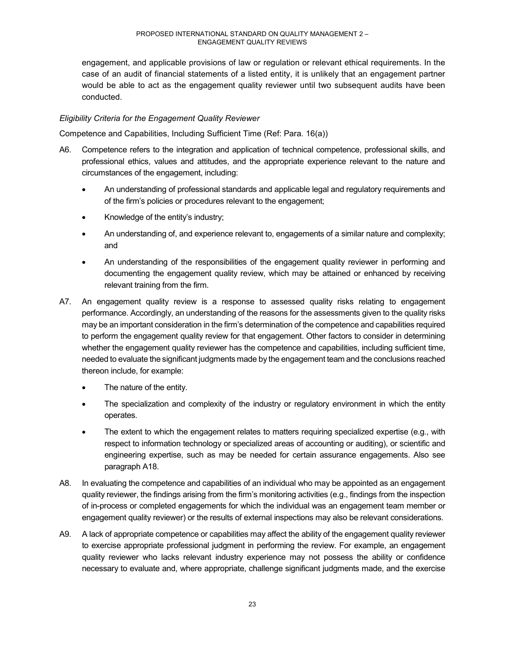engagement, and applicable provisions of law or regulation or relevant ethical requirements. In the case of an audit of financial statements of a listed entity, it is unlikely that an engagement partner would be able to act as the engagement quality reviewer until two subsequent audits have been conducted.

# *Eligibility Criteria for the Engagement Quality Reviewer*

Competence and Capabilities, Including Sufficient Time (Ref: Para. 16(a))

- A6. Competence refers to the integration and application of technical competence, professional skills, and professional ethics, values and attitudes, and the appropriate experience relevant to the nature and circumstances of the engagement, including:
	- An understanding of professional standards and applicable legal and regulatory requirements and of the firm's policies or procedures relevant to the engagement;
	- Knowledge of the entity's industry;
	- An understanding of, and experience relevant to, engagements of a similar nature and complexity; and
	- An understanding of the responsibilities of the engagement quality reviewer in performing and documenting the engagement quality review, which may be attained or enhanced by receiving relevant training from the firm.
- A7. An engagement quality review is a response to assessed quality risks relating to engagement performance. Accordingly, an understanding of the reasons for the assessments given to the quality risks may be an important consideration in the firm's determination of the competence and capabilities required to perform the engagement quality review for that engagement. Other factors to consider in determining whether the engagement quality reviewer has the competence and capabilities, including sufficient time, needed to evaluate the significant judgments made by the engagement team and the conclusions reached thereon include, for example:
	- The nature of the entity.
	- The specialization and complexity of the industry or regulatory environment in which the entity operates.
	- The extent to which the engagement relates to matters requiring specialized expertise (e.g., with respect to information technology or specialized areas of accounting or auditing), or scientific and engineering expertise, such as may be needed for certain assurance engagements. Also see paragraph A18.
- A8. In evaluating the competence and capabilities of an individual who may be appointed as an engagement quality reviewer, the findings arising from the firm's monitoring activities (e.g., findings from the inspection of in-process or completed engagements for which the individual was an engagement team member or engagement quality reviewer) or the results of external inspections may also be relevant considerations.
- A9. A lack of appropriate competence or capabilities may affect the ability of the engagement quality reviewer to exercise appropriate professional judgment in performing the review. For example, an engagement quality reviewer who lacks relevant industry experience may not possess the ability or confidence necessary to evaluate and, where appropriate, challenge significant judgments made, and the exercise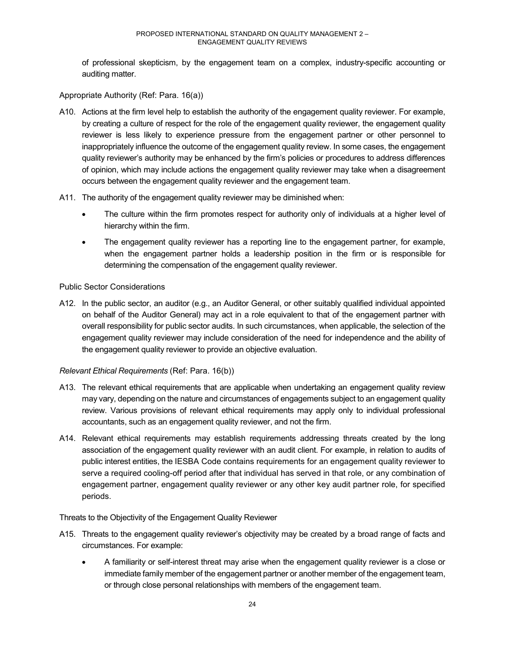of professional skepticism, by the engagement team on a complex, industry-specific accounting or auditing matter.

Appropriate Authority (Ref: Para. 16(a))

- A10. Actions at the firm level help to establish the authority of the engagement quality reviewer. For example, by creating a culture of respect for the role of the engagement quality reviewer, the engagement quality reviewer is less likely to experience pressure from the engagement partner or other personnel to inappropriately influence the outcome of the engagement quality review. In some cases, the engagement quality reviewer's authority may be enhanced by the firm's policies or procedures to address differences of opinion, which may include actions the engagement quality reviewer may take when a disagreement occurs between the engagement quality reviewer and the engagement team.
- A11. The authority of the engagement quality reviewer may be diminished when:
	- The culture within the firm promotes respect for authority only of individuals at a higher level of hierarchy within the firm.
	- The engagement quality reviewer has a reporting line to the engagement partner, for example, when the engagement partner holds a leadership position in the firm or is responsible for determining the compensation of the engagement quality reviewer.

#### Public Sector Considerations

A12. In the public sector, an auditor (e.g., an Auditor General, or other suitably qualified individual appointed on behalf of the Auditor General) may act in a role equivalent to that of the engagement partner with overall responsibility for public sector audits. In such circumstances, when applicable, the selection of the engagement quality reviewer may include consideration of the need for independence and the ability of the engagement quality reviewer to provide an objective evaluation.

# *Relevant Ethical Requirements* (Ref: Para. 16(b))

- A13. The relevant ethical requirements that are applicable when undertaking an engagement quality review may vary, depending on the nature and circumstances of engagements subject to an engagement quality review. Various provisions of relevant ethical requirements may apply only to individual professional accountants, such as an engagement quality reviewer, and not the firm.
- A14. Relevant ethical requirements may establish requirements addressing threats created by the long association of the engagement quality reviewer with an audit client. For example, in relation to audits of public interest entities, the IESBA Code contains requirements for an engagement quality reviewer to serve a required cooling-off period after that individual has served in that role, or any combination of engagement partner, engagement quality reviewer or any other key audit partner role, for specified periods.

#### Threats to the Objectivity of the Engagement Quality Reviewer

- A15. Threats to the engagement quality reviewer's objectivity may be created by a broad range of facts and circumstances. For example:
	- A familiarity or self-interest threat may arise when the engagement quality reviewer is a close or immediate family member of the engagement partner or another member of the engagement team, or through close personal relationships with members of the engagement team.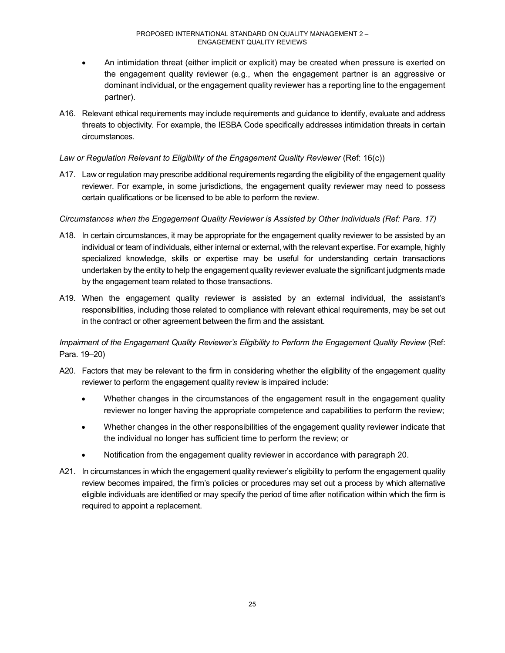- An intimidation threat (either implicit or explicit) may be created when pressure is exerted on the engagement quality reviewer (e.g., when the engagement partner is an aggressive or dominant individual, or the engagement quality reviewer has a reporting line to the engagement partner).
- A16. Relevant ethical requirements may include requirements and guidance to identify, evaluate and address threats to objectivity. For example, the IESBA Code specifically addresses intimidation threats in certain circumstances.

# Law or Regulation Relevant to Eligibility of the Engagement Quality Reviewer (Ref: 16(c))

A17. Law or regulation may prescribe additional requirements regarding the eligibility of the engagement quality reviewer. For example, in some jurisdictions, the engagement quality reviewer may need to possess certain qualifications or be licensed to be able to perform the review.

# *Circumstances when the Engagement Quality Reviewer is Assisted by Other Individuals (Ref: Para. 17)*

- A18. In certain circumstances, it may be appropriate for the engagement quality reviewer to be assisted by an individual or team of individuals, either internal or external, with the relevant expertise. For example, highly specialized knowledge, skills or expertise may be useful for understanding certain transactions undertaken by the entity to help the engagement quality reviewer evaluate the significant judgments made by the engagement team related to those transactions.
- A19. When the engagement quality reviewer is assisted by an external individual, the assistant's responsibilities, including those related to compliance with relevant ethical requirements, may be set out in the contract or other agreement between the firm and the assistant.

*Impairment of the Engagement Quality Reviewer's Eligibility to Perform the Engagement Quality Review* (Ref: Para. 19–20)

- A20. Factors that may be relevant to the firm in considering whether the eligibility of the engagement quality reviewer to perform the engagement quality review is impaired include:
	- Whether changes in the circumstances of the engagement result in the engagement quality reviewer no longer having the appropriate competence and capabilities to perform the review;
	- Whether changes in the other responsibilities of the engagement quality reviewer indicate that the individual no longer has sufficient time to perform the review; or
	- Notification from the engagement quality reviewer in accordance with paragraph 20.
- A21. In circumstances in which the engagement quality reviewer's eligibility to perform the engagement quality review becomes impaired, the firm's policies or procedures may set out a process by which alternative eligible individuals are identified or may specify the period of time after notification within which the firm is required to appoint a replacement.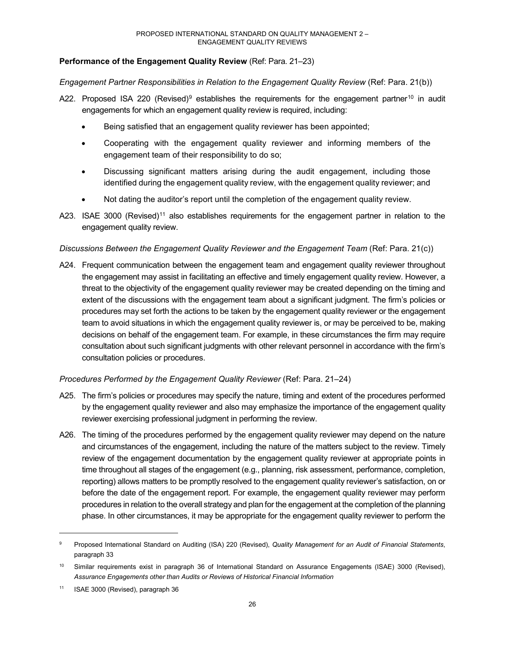# **Performance of the Engagement Quality Review** (Ref: Para. 21–23)

# *Engagement Partner Responsibilities in Relation to the Engagement Quality Review* (Ref: Para. 21(b))

- A22. Proposed ISA 220 (Revised)<sup>9</sup> establishes the requirements for the engagement partner<sup>10</sup> in audit engagements for which an engagement quality review is required, including:
	- Being satisfied that an engagement quality reviewer has been appointed;
	- Cooperating with the engagement quality reviewer and informing members of the engagement team of their responsibility to do so;
	- Discussing significant matters arising during the audit engagement, including those identified during the engagement quality review, with the engagement quality reviewer; and
	- Not dating the auditor's report until the completion of the engagement quality review.
- A23. ISAE 3000 (Revised)<sup>11</sup> also establishes requirements for the engagement partner in relation to the engagement quality review.

#### *Discussions Between the Engagement Quality Reviewer and the Engagement Team (Ref: Para. 21(c))*

A24. Frequent communication between the engagement team and engagement quality reviewer throughout the engagement may assist in facilitating an effective and timely engagement quality review. However, a threat to the objectivity of the engagement quality reviewer may be created depending on the timing and extent of the discussions with the engagement team about a significant judgment. The firm's policies or procedures may set forth the actions to be taken by the engagement quality reviewer or the engagement team to avoid situations in which the engagement quality reviewer is, or may be perceived to be, making decisions on behalf of the engagement team. For example, in these circumstances the firm may require consultation about such significant judgments with other relevant personnel in accordance with the firm's consultation policies or procedures.

# *Procedures Performed by the Engagement Quality Reviewer* (Ref: Para. 21–24)

- A25. The firm's policies or procedures may specify the nature, timing and extent of the procedures performed by the engagement quality reviewer and also may emphasize the importance of the engagement quality reviewer exercising professional judgment in performing the review.
- A26. The timing of the procedures performed by the engagement quality reviewer may depend on the nature and circumstances of the engagement, including the nature of the matters subject to the review. Timely review of the engagement documentation by the engagement quality reviewer at appropriate points in time throughout all stages of the engagement (e.g., planning, risk assessment, performance, completion, reporting) allows matters to be promptly resolved to the engagement quality reviewer's satisfaction, on or before the date of the engagement report. For example, the engagement quality reviewer may perform procedures in relation to the overall strategy and plan for the engagement at the completion of the planning phase. In other circumstances, it may be appropriate for the engagement quality reviewer to perform the

<sup>9</sup> Proposed International Standard on Auditing (ISA) 220 (Revised), *Quality Management for an Audit of Financial Statements*, paragraph 33

<sup>10</sup> Similar requirements exist in paragraph 36 of International Standard on Assurance Engagements (ISAE) 3000 (Revised), *Assurance Engagements other than Audits or Reviews of Historical Financial Information*

<sup>11</sup> ISAE 3000 (Revised), paragraph 36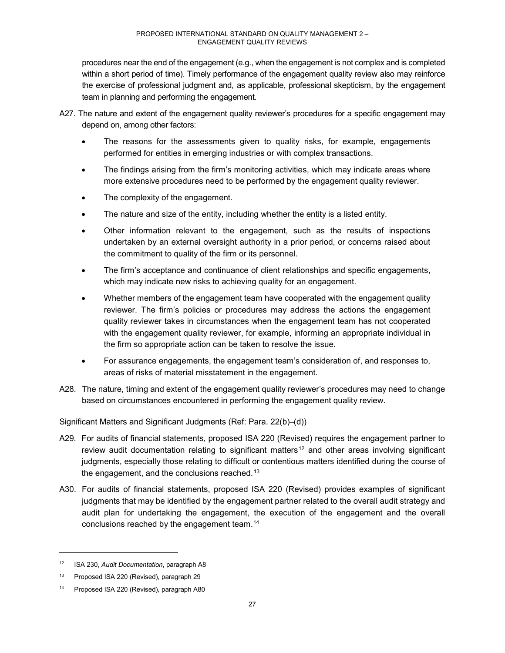procedures near the end of the engagement (e.g., when the engagement is not complex and is completed within a short period of time). Timely performance of the engagement quality review also may reinforce the exercise of professional judgment and, as applicable, professional skepticism, by the engagement team in planning and performing the engagement.

- A27. The nature and extent of the engagement quality reviewer's procedures for a specific engagement may depend on, among other factors:
	- The reasons for the assessments given to quality risks, for example, engagements performed for entities in emerging industries or with complex transactions.
	- The findings arising from the firm's monitoring activities, which may indicate areas where more extensive procedures need to be performed by the engagement quality reviewer.
	- The complexity of the engagement.
	- The nature and size of the entity, including whether the entity is a listed entity.
	- Other information relevant to the engagement, such as the results of inspections undertaken by an external oversight authority in a prior period, or concerns raised about the commitment to quality of the firm or its personnel.
	- The firm's acceptance and continuance of client relationships and specific engagements, which may indicate new risks to achieving quality for an engagement.
	- Whether members of the engagement team have cooperated with the engagement quality reviewer. The firm's policies or procedures may address the actions the engagement quality reviewer takes in circumstances when the engagement team has not cooperated with the engagement quality reviewer, for example, informing an appropriate individual in the firm so appropriate action can be taken to resolve the issue.
	- For assurance engagements, the engagement team's consideration of, and responses to, areas of risks of material misstatement in the engagement.
- A28. The nature, timing and extent of the engagement quality reviewer's procedures may need to change based on circumstances encountered in performing the engagement quality review.

Significant Matters and Significant Judgments (Ref: Para. 22(b)–(d))

- A29. For audits of financial statements, proposed ISA 220 (Revised) requires the engagement partner to review audit documentation relating to significant matters<sup>12</sup> and other areas involving significant judgments, especially those relating to difficult or contentious matters identified during the course of the engagement, and the conclusions reached.13
- A30. For audits of financial statements, proposed ISA 220 (Revised) provides examples of significant judgments that may be identified by the engagement partner related to the overall audit strategy and audit plan for undertaking the engagement, the execution of the engagement and the overall conclusions reached by the engagement team.14

<sup>12</sup> ISA 230, *Audit Documentation*, paragraph A8

<sup>13</sup> Proposed ISA 220 (Revised), paragraph 29

<sup>14</sup> Proposed ISA 220 (Revised), paragraph A80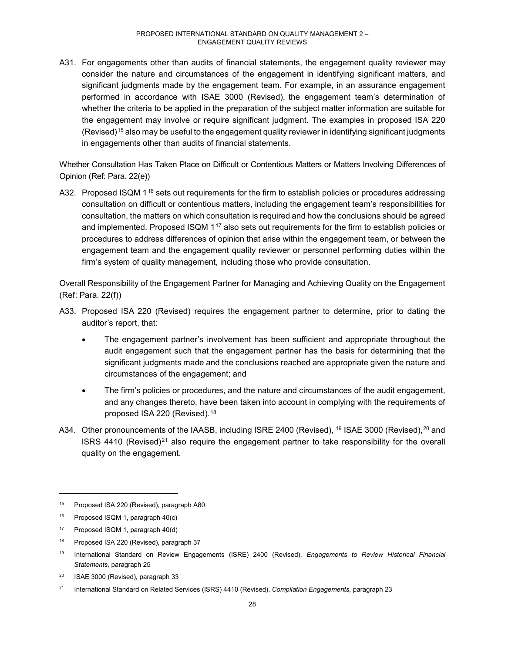A31. For engagements other than audits of financial statements, the engagement quality reviewer may consider the nature and circumstances of the engagement in identifying significant matters, and significant judgments made by the engagement team. For example, in an assurance engagement performed in accordance with ISAE 3000 (Revised), the engagement team's determination of whether the criteria to be applied in the preparation of the subject matter information are suitable for the engagement may involve or require significant judgment. The examples in proposed ISA 220 (Revised)15 also may be useful to the engagement quality reviewer in identifying significant judgments in engagements other than audits of financial statements.

Whether Consultation Has Taken Place on Difficult or Contentious Matters or Matters Involving Differences of Opinion (Ref: Para. 22(e))

A32. Proposed ISQM 1<sup>16</sup> sets out requirements for the firm to establish policies or procedures addressing consultation on difficult or contentious matters, including the engagement team's responsibilities for consultation, the matters on which consultation is required and how the conclusions should be agreed and implemented. Proposed ISQM 1<sup>17</sup> also sets out requirements for the firm to establish policies or procedures to address differences of opinion that arise within the engagement team, or between the engagement team and the engagement quality reviewer or personnel performing duties within the firm's system of quality management, including those who provide consultation.

Overall Responsibility of the Engagement Partner for Managing and Achieving Quality on the Engagement (Ref: Para. 22(f))

- A33. Proposed ISA 220 (Revised) requires the engagement partner to determine, prior to dating the auditor's report, that:
	- The engagement partner's involvement has been sufficient and appropriate throughout the audit engagement such that the engagement partner has the basis for determining that the significant judgments made and the conclusions reached are appropriate given the nature and circumstances of the engagement; and
	- The firm's policies or procedures, and the nature and circumstances of the audit engagement, and any changes thereto, have been taken into account in complying with the requirements of proposed ISA 220 (Revised).18
- A34. Other pronouncements of the IAASB, including ISRE 2400 (Revised), <sup>19</sup> ISAE 3000 (Revised), <sup>20</sup> and ISRS 4410 (Revised)<sup>21</sup> also require the engagement partner to take responsibility for the overall quality on the engagement.

<sup>&</sup>lt;sup>15</sup> Proposed ISA 220 (Revised), paragraph A80

<sup>16</sup> Proposed ISQM 1, paragraph 40(c)

<sup>17</sup> Proposed ISQM 1, paragraph 40(d)

<sup>&</sup>lt;sup>18</sup> Proposed ISA 220 (Revised), paragraph 37

<sup>19</sup> International Standard on Review Engagements (ISRE) 2400 (Revised), *Engagements to Review Historical Financial Statements,* paragraph 25

<sup>20</sup> ISAE 3000 (Revised)*,* paragraph 33

<sup>21</sup> International Standard on Related Services (ISRS) 4410 (Revised), *Compilation Engagements,* paragraph 23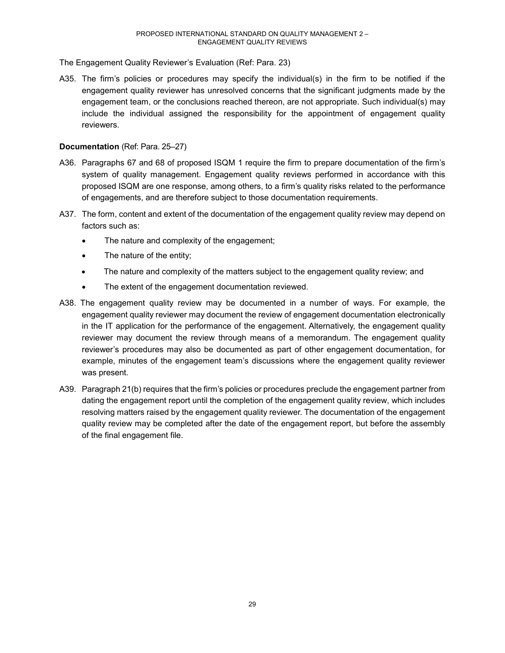The Engagement Quality Reviewer's Evaluation (Ref: Para. 23)

A35. The firm's policies or procedures may specify the individual(s) in the firm to be notified if the engagement quality reviewer has unresolved concerns that the significant judgments made by the engagement team, or the conclusions reached thereon, are not appropriate. Such individual(s) may include the individual assigned the responsibility for the appointment of engagement quality reviewers.

#### **Documentation** (Ref: Para. 25–27)

- A36. Paragraphs 67 and 68 of proposed ISQM 1 require the firm to prepare documentation of the firm's system of quality management. Engagement quality reviews performed in accordance with this proposed ISQM are one response, among others, to a firm's quality risks related to the performance of engagements, and are therefore subject to those documentation requirements.
- A37. The form, content and extent of the documentation of the engagement quality review may depend on factors such as:
	- The nature and complexity of the engagement;
	- The nature of the entity;
	- The nature and complexity of the matters subject to the engagement quality review; and
	- The extent of the engagement documentation reviewed.
- A38. The engagement quality review may be documented in a number of ways. For example, the engagement quality reviewer may document the review of engagement documentation electronically in the IT application for the performance of the engagement. Alternatively, the engagement quality reviewer may document the review through means of a memorandum. The engagement quality reviewer's procedures may also be documented as part of other engagement documentation, for example, minutes of the engagement team's discussions where the engagement quality reviewer was present.
- A39. Paragraph 21(b) requires that the firm's policies or procedures preclude the engagement partner from dating the engagement report until the completion of the engagement quality review, which includes resolving matters raised by the engagement quality reviewer. The documentation of the engagement quality review may be completed after the date of the engagement report, but before the assembly of the final engagement file.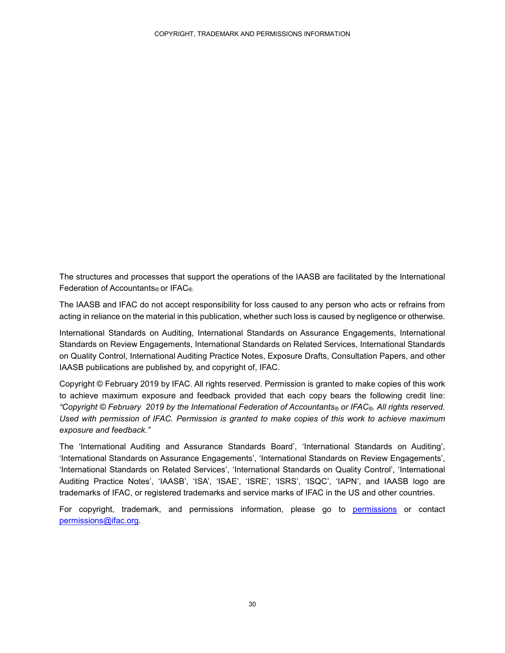The structures and processes that support the operations of the IAASB are facilitated by the International Federation of Accountants® or IFAC®.

The IAASB and IFAC do not accept responsibility for loss caused to any person who acts or refrains from acting in reliance on the material in this publication, whether such loss is caused by negligence or otherwise.

International Standards on Auditing, International Standards on Assurance Engagements, International Standards on Review Engagements, International Standards on Related Services, International Standards on Quality Control, International Auditing Practice Notes, Exposure Drafts, Consultation Papers, and other IAASB publications are published by, and copyright of, IFAC.

Copyright © February 2019 by IFAC. All rights reserved. Permission is granted to make copies of this work to achieve maximum exposure and feedback provided that each copy bears the following credit line: *"Copyright © February 2019 by the International Federation of Accountants® or IFAC®. All rights reserved. Used with permission of IFAC. Permission is granted to make copies of this work to achieve maximum exposure and feedback."*

The 'International Auditing and Assurance Standards Board', 'International Standards on Auditing', 'International Standards on Assurance Engagements', 'International Standards on Review Engagements', 'International Standards on Related Services', 'International Standards on Quality Control', 'International Auditing Practice Notes', 'IAASB', 'ISA', 'ISAE', 'ISRE', 'ISRS', 'ISQC', 'IAPN', and IAASB logo are trademarks of IFAC, or registered trademarks and service marks of IFAC in the US and other countries.

For copyright, trademark, and permissions information, please go to permissions or contact permissions@ifac.org.